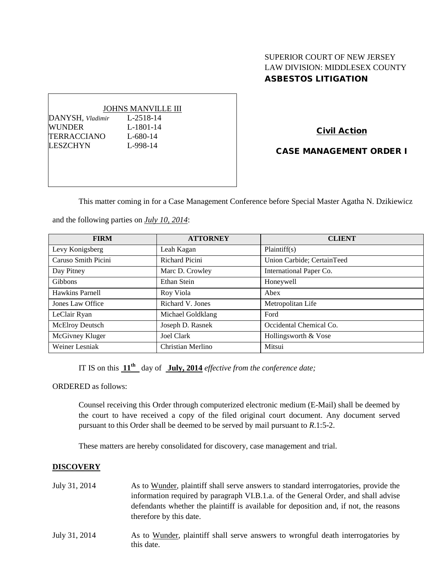# SUPERIOR COURT OF NEW JERSEY LAW DIVISION: MIDDLESEX COUNTY ASBESTOS LITIGATION

#### JOHNS MANVILLE III

DANYSH*, Vladimir* L-2518-14 WUNDER L-1801-14 TERRACCIANO L-680-14 LESZCHYN L-998-14

Civil Action

CASE MANAGEMENT ORDER I

This matter coming in for a Case Management Conference before Special Master Agatha N. Dzikiewicz

and the following parties on *July 10, 2014*:

| <b>FIRM</b>         | <b>ATTORNEY</b>   | <b>CLIENT</b>              |
|---------------------|-------------------|----------------------------|
| Levy Konigsberg     | Leah Kagan        | Plaintiff(s)               |
| Caruso Smith Picini | Richard Picini    | Union Carbide; CertainTeed |
| Day Pitney          | Marc D. Crowley   | International Paper Co.    |
| Gibbons             | Ethan Stein       | Honeywell                  |
| Hawkins Parnell     | Roy Viola         | Abex                       |
| Jones Law Office    | Richard V. Jones  | Metropolitan Life          |
| LeClair Ryan        | Michael Goldklang | Ford                       |
| McElroy Deutsch     | Joseph D. Rasnek  | Occidental Chemical Co.    |
| McGivney Kluger     | Joel Clark        | Hollingsworth & Vose       |
| Weiner Lesniak      | Christian Merlino | Mitsui                     |

IT IS on this **11th** day of **July, 2014** *effective from the conference date;*

ORDERED as follows:

Counsel receiving this Order through computerized electronic medium (E-Mail) shall be deemed by the court to have received a copy of the filed original court document. Any document served pursuant to this Order shall be deemed to be served by mail pursuant to *R*.1:5-2.

These matters are hereby consolidated for discovery, case management and trial.

this date.

## **DISCOVERY**

| July 31, 2014 | As to Wunder, plaintiff shall serve answers to standard interrogatories, provide the<br>information required by paragraph VI.B.1.a. of the General Order, and shall advise<br>defendants whether the plaintiff is available for deposition and, if not, the reasons<br>therefore by this date. |
|---------------|------------------------------------------------------------------------------------------------------------------------------------------------------------------------------------------------------------------------------------------------------------------------------------------------|
| July 31, 2014 | As to Wunder, plaintiff shall serve answers to wrongful death interrogatories by                                                                                                                                                                                                               |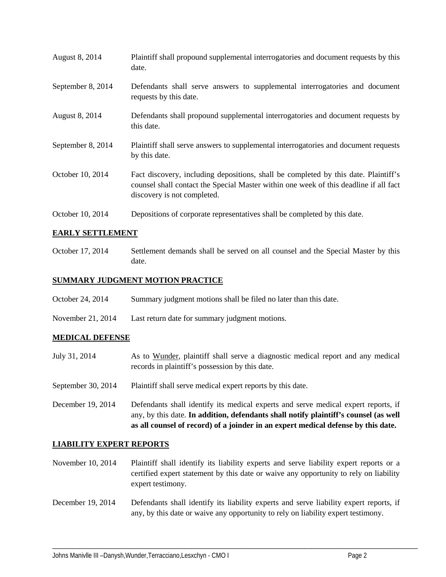| August 8, 2014    | Plaintiff shall propound supplemental interrogatories and document requests by this<br>date.                                                                                                                |
|-------------------|-------------------------------------------------------------------------------------------------------------------------------------------------------------------------------------------------------------|
| September 8, 2014 | Defendants shall serve answers to supplemental interrogatories and document<br>requests by this date.                                                                                                       |
| August 8, 2014    | Defendants shall propound supplemental interrogatories and document requests by<br>this date.                                                                                                               |
| September 8, 2014 | Plaintiff shall serve answers to supplemental interrogatories and document requests<br>by this date.                                                                                                        |
| October 10, 2014  | Fact discovery, including depositions, shall be completed by this date. Plaintiff's<br>counsel shall contact the Special Master within one week of this deadline if all fact<br>discovery is not completed. |
| October 10, 2014  | Depositions of corporate representatives shall be completed by this date.                                                                                                                                   |

## **EARLY SETTLEMENT**

October 17, 2014 Settlement demands shall be served on all counsel and the Special Master by this date.

## **SUMMARY JUDGMENT MOTION PRACTICE**

- October 24, 2014 Summary judgment motions shall be filed no later than this date.
- November 21, 2014 Last return date for summary judgment motions.

### **MEDICAL DEFENSE**

- July 31, 2014 As to Wunder, plaintiff shall serve a diagnostic medical report and any medical records in plaintiff's possession by this date. September 30, 2014 Plaintiff shall serve medical expert reports by this date.
- December 19, 2014 Defendants shall identify its medical experts and serve medical expert reports, if any, by this date. **In addition, defendants shall notify plaintiff's counsel (as well as all counsel of record) of a joinder in an expert medical defense by this date.**

### **LIABILITY EXPERT REPORTS**

- November 10, 2014 Plaintiff shall identify its liability experts and serve liability expert reports or a certified expert statement by this date or waive any opportunity to rely on liability expert testimony.
- December 19, 2014 Defendants shall identify its liability experts and serve liability expert reports, if any, by this date or waive any opportunity to rely on liability expert testimony.

\_\_\_\_\_\_\_\_\_\_\_\_\_\_\_\_\_\_\_\_\_\_\_\_\_\_\_\_\_\_\_\_\_\_\_\_\_\_\_\_\_\_\_\_\_\_\_\_\_\_\_\_\_\_\_\_\_\_\_\_\_\_\_\_\_\_\_\_\_\_\_\_\_\_\_\_\_\_\_\_\_\_\_\_\_\_\_\_\_\_\_\_\_\_\_\_\_\_\_\_\_\_\_\_\_\_\_\_\_\_